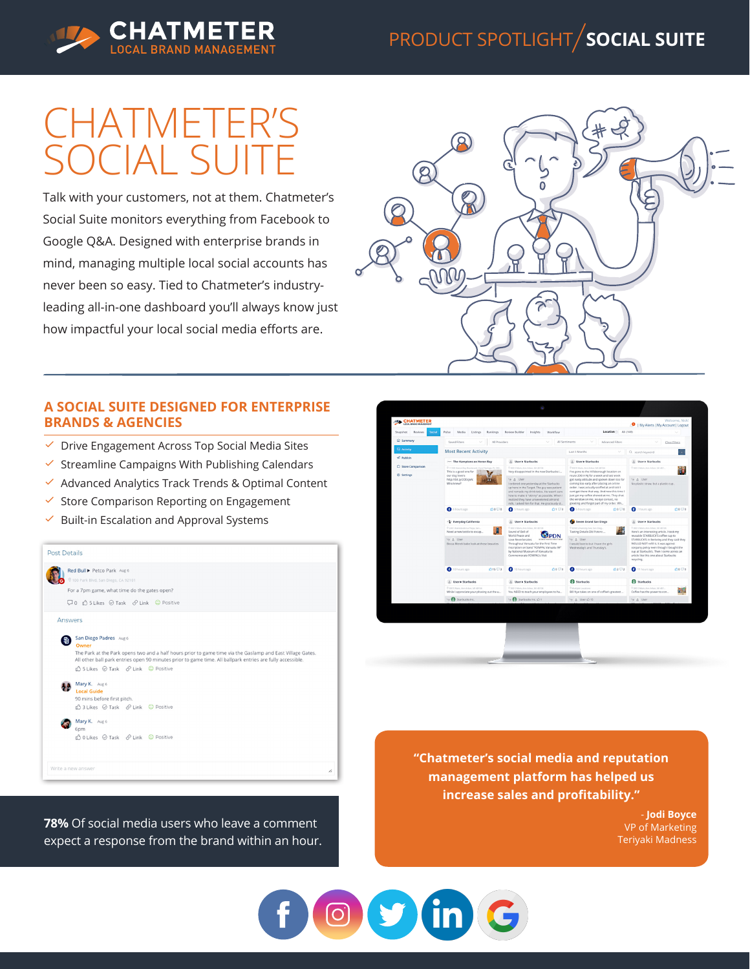# PRODUCT SPOTLIGHT **SOCIAL SUITE**



# HAIMETE<br>OCIAL SU SOCIAL

Talk with your customers, not at them. Chatmeter's Social Suite monitors everything from Facebook to Google Q&A. Designed with enterprise brands in mind, managing multiple local social accounts has never been so easy. Tied to Chatmeter's industryleading all-in-one dashboard you'll always know just how impactful your local social media efforts are.



### **A SOCIAL SUITE DESIGNED FOR ENTERPRISE BRANDS & AGENCIES**

- $\checkmark$  Drive Engagement Across Top Social Media Sites
- $\checkmark$  Streamline Campaigns With Publishing Calendars
- ɮ Advanced Analytics Track Trends & Optimal Content
- $\checkmark$  Store Comparison Reporting on Engagement
- ɮ Built-in Escalation and Approval Systems



**78%** Of social media users who leave a comment expect a response from the brand within an hour.



**"Chatmeter's social media and reputation management platform has helped us increase sales and profitability."**

> - **Jodi Boyce** VP of Marketing Teriyaki Madness